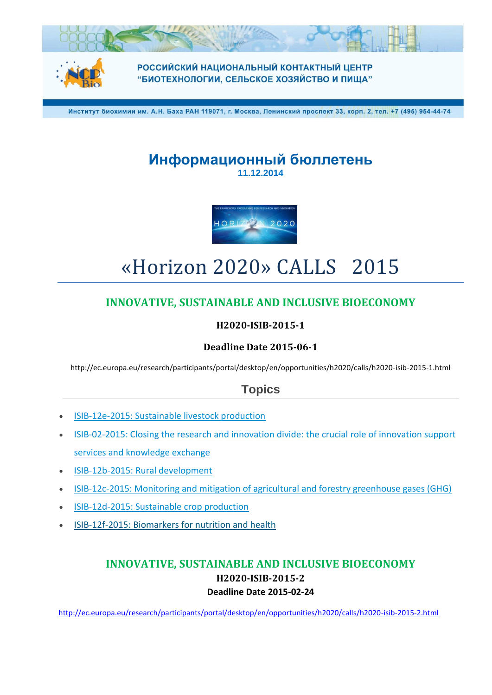

**РОССИЙСКИЙ НАЦИОНАЛЬНЫЙ КОНТАКТНЫЙ ЦЕНТР** "БИОТЕХНОЛОГИИ, СЕЛЬСКОЕ ХОЗЯЙСТВО И ПИЩА"

Институт биохимии им. А.Н. Баха РАН 119071, г. Москва, Ленинский проспект 33, корп. 2, тел. +7 (495) 954-44-74

# **Информационный бюллетень 11.12.2014**



# «Horizon 2020» CALLS 2015

# **INNOVATIVE, SUSTAINABLE AND INCLUSIVE BIOECONOMY**

#### **H2020-ISIB-2015-1**

### **Deadline Date 2015-06-1**

http://ec.europa.eu/research/participants/portal/desktop/en/opportunities/h2020/calls/h2020-isib-2015-1.html

# **Topics**

- [ISIB-12e-2015: Sustainable livestock production](http://ec.europa.eu/research/participants/portal/desktop/en/opportunities/h2020/topics/2299-isib-12e-2015.html)
- [ISIB-02-2015: Closing the research and innovation divide: the crucial role of innovation support](http://ec.europa.eu/research/participants/portal/desktop/en/opportunities/h2020/topics/2295-isib-02-2015.html)  [services and knowledge exchange](http://ec.europa.eu/research/participants/portal/desktop/en/opportunities/h2020/topics/2295-isib-02-2015.html)
- [ISIB-12b-2015: Rural development](http://ec.europa.eu/research/participants/portal/desktop/en/opportunities/h2020/topics/2296-isib-12b-2015.html)
- [ISIB-12c-2015: Monitoring and mitigation of agricultural and forestry greenhouse gases \(GHG\)](http://ec.europa.eu/research/participants/portal/desktop/en/opportunities/h2020/topics/2297-isib-12c-2015.html)
- [ISIB-12d-2015: Sustainable crop production](http://ec.europa.eu/research/participants/portal/desktop/en/opportunities/h2020/topics/2298-isib-12d-2015.html)
- [ISIB-12f-2015: Biomarkers for nutrition and health](http://ec.europa.eu/research/participants/portal/desktop/en/opportunities/h2020/topics/2300-isib-12f-2015.html)

### **INNOVATIVE, SUSTAINABLE AND INCLUSIVE BIOECONOMY H2020-ISIB-2015-2 Deadline Date 2015-02-24**

<http://ec.europa.eu/research/participants/portal/desktop/en/opportunities/h2020/calls/h2020-isib-2015-2.html>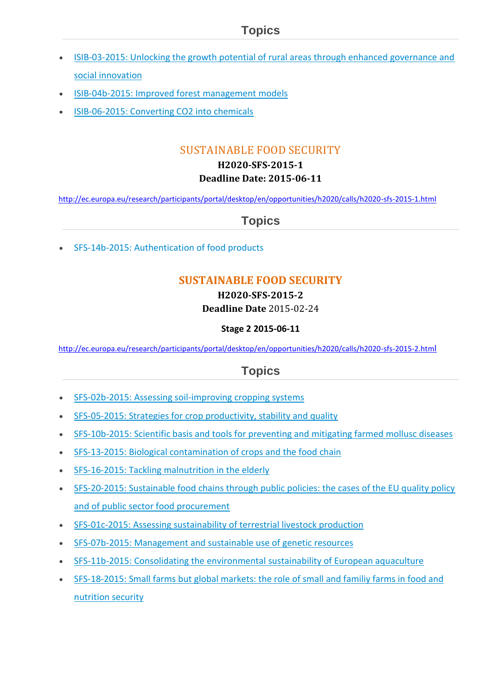- [ISIB-03-2015: Unlocking the growth potential of rural areas through enhanced governance and](http://ec.europa.eu/research/participants/portal/desktop/en/opportunities/h2020/topics/2301-isib-03-2015.html)  [social innovation](http://ec.europa.eu/research/participants/portal/desktop/en/opportunities/h2020/topics/2301-isib-03-2015.html)
- [ISIB-04b-2015: Improved forest management models](http://ec.europa.eu/research/participants/portal/desktop/en/opportunities/h2020/topics/2302-isib-04b-2015.html)
- [ISIB-06-2015: Converting CO2 into chemicals](http://ec.europa.eu/research/participants/portal/desktop/en/opportunities/h2020/topics/2303-isib-06-2015.html)

# SUSTAINABLE FOOD SECURITY

#### **H2020-SFS-2015-1 Deadline Date: 2015-06-11**

<http://ec.europa.eu/research/participants/portal/desktop/en/opportunities/h2020/calls/h2020-sfs-2015-1.html>

# **Topics**

[SFS-14b-2015: Authentication of food products](http://ec.europa.eu/research/participants/portal/desktop/en/opportunities/h2020/topics/2335-sfs-14b-2015.html)

# **SUSTAINABLE FOOD SECURITY**

### **H2020-SFS-2015-2**

### **Deadline Date** 2015-02-24

#### **Stage 2 2015-06-11**

[http://ec.europa.eu/research/participants/portal/desktop/en/opportunities/h2020/calls/h2020-sfs-2015-2.htm](http://ec.europa.eu/research/participants/portal/desktop/en/opportunities/h2020/calls/h2020-sfs-2015-2.html)l

- [SFS-02b-2015: Assessing soil-improving cropping systems](http://ec.europa.eu/research/participants/portal/desktop/en/opportunities/h2020/topics/2337-sfs-02b-2015.html)
- [SFS-05-2015: Strategies for crop productivity, stability and quality](http://ec.europa.eu/research/participants/portal/desktop/en/opportunities/h2020/topics/2338-sfs-05-2015.html)
- [SFS-10b-2015: Scientific basis and tools for preventing and mitigating farmed mollusc diseases](http://ec.europa.eu/research/participants/portal/desktop/en/opportunities/h2020/topics/2340-sfs-10b-2015.html)
- [SFS-13-2015: Biological contamination of crops and the food chain](http://ec.europa.eu/research/participants/portal/desktop/en/opportunities/h2020/topics/2342-sfs-13-2015.html)
- [SFS-16-2015: Tackling malnutrition in the elderly](http://ec.europa.eu/research/participants/portal/desktop/en/opportunities/h2020/topics/2343-sfs-16-2015.html)
- [SFS-20-2015: Sustainable food chains through public policies: the cases of the EU quality policy](http://ec.europa.eu/research/participants/portal/desktop/en/opportunities/h2020/topics/2345-sfs-20-2015.html)  [and of public sector food procurement](http://ec.europa.eu/research/participants/portal/desktop/en/opportunities/h2020/topics/2345-sfs-20-2015.html)
- [SFS-01c-2015: Assessing sustainability of terrestrial livestock production](http://ec.europa.eu/research/participants/portal/desktop/en/opportunities/h2020/topics/2336-sfs-01c-2015.html)
- [SFS-07b-2015: Management and sustainable use of genetic resources](http://ec.europa.eu/research/participants/portal/desktop/en/opportunities/h2020/topics/2339-sfs-07b-2015.html)
- [SFS-11b-2015: Consolidating the environmental sustainability of European aquaculture](http://ec.europa.eu/research/participants/portal/desktop/en/opportunities/h2020/topics/2341-sfs-11b-2015.html)
- [SFS-18-2015: Small farms but global markets: the role of small and familiy farms in food and](http://ec.europa.eu/research/participants/portal/desktop/en/opportunities/h2020/topics/2344-sfs-18-2015.html)  [nutrition security](http://ec.europa.eu/research/participants/portal/desktop/en/opportunities/h2020/topics/2344-sfs-18-2015.html)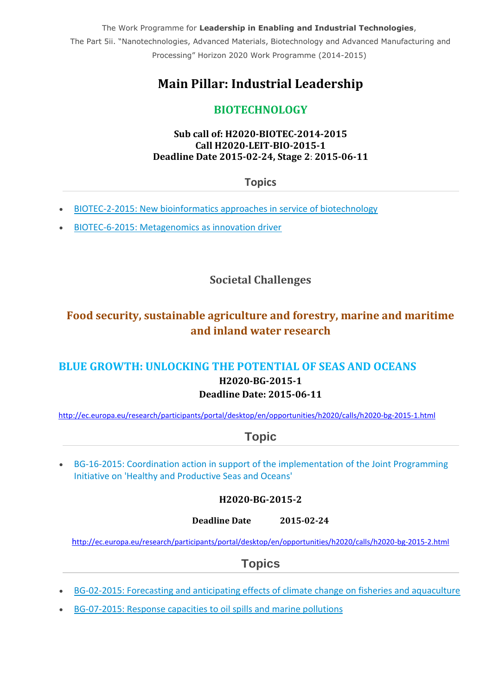The Work Programme for **Leadership in Enabling and Industrial Technologies**, The Part 5ii. "Nanotechnologies, Advanced Materials, Biotechnology and Advanced Manufacturing and Processing" Horizon 2020 Work Programme (2014-2015)

# **Main Pillar: Industrial Leadership**

# **BIOTECHNOLOGY**

#### **Sub call of: H2020-BIOTEC-2014-2015 Сall H2020-LEIT-BIO-2015-1 Deadline Date 2015-02-24, Stage 2**: **2015-06-11**

**Topics**

- [BIOTEC-2-2015: New bioinformatics approaches in service of biotechnology](http://ec.europa.eu/research/participants/portal/desktop/en/opportunities/h2020/topics/2599-biotec-2-2015.html)
- [BIOTEC-6-2015: Metagenomics as innovation driver](http://ec.europa.eu/research/participants/portal/desktop/en/opportunities/h2020/topics/2600-biotec-6-2015.html)

# **Societal Challenges**

# **Food security, sustainable agriculture and forestry, marine and maritime and inland water research**

## **BLUE GROWTH: UNLOCKING THE POTENTIAL OF SEAS AND OCEANS H2020-BG-2015-1 Deadline Date: 2015-06-11**

<http://ec.europa.eu/research/participants/portal/desktop/en/opportunities/h2020/calls/h2020-bg-2015-1.html>

# **Topic**

 [BG-16-2015: Coordination action in support of the implementation of the Joint Programming](http://ec.europa.eu/research/participants/portal/desktop/en/opportunities/h2020/topics/2459-bg-16-2015.html)  [Initiative on 'Healthy and Productive Seas and Oceans'](http://ec.europa.eu/research/participants/portal/desktop/en/opportunities/h2020/topics/2459-bg-16-2015.html)

#### **H2020-BG-2015-2**

**Deadline Date 2015-02-24**

h[ttp://ec.europa.eu/research/participants/portal/desktop/en/opportunities/h2020/calls/h2020-bg-2015-2.html](http://ec.europa.eu/research/participants/portal/desktop/en/opportunities/h2020/calls/h2020-bg-2015-2.html)

- [BG-02-2015: Forecasting and anticipating effects of climate change on fisheries and aquaculture](http://ec.europa.eu/research/participants/portal/desktop/en/opportunities/h2020/topics/2467-bg-02-2015.html)
- [BG-07-2015: Response capacities to oil spills and marine pollutions](http://ec.europa.eu/research/participants/portal/desktop/en/opportunities/h2020/topics/2468-bg-07-2015.html)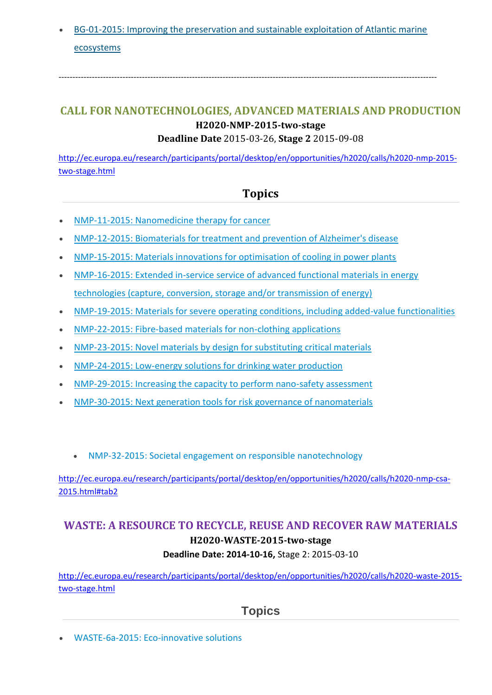[BG-01-2015: Improving the preservation and sustainable exploitation of Atlantic marine](http://ec.europa.eu/research/participants/portal/desktop/en/opportunities/h2020/topics/2466-bg-01-2015.html)  [ecosystems](http://ec.europa.eu/research/participants/portal/desktop/en/opportunities/h2020/topics/2466-bg-01-2015.html)

----------------------------------------------------------------------------------------------------------------------------------------

# **CALL FOR NANOTECHNOLOGIES, ADVANCED MATERIALS AND PRODUCTION H2020-NMP-2015-two-stage**

#### **Deadline Date** 2015-03-26, **Stage 2** 2015-09-08

[http://ec.europa.eu/research/participants/portal/desktop/en/opportunities/h2020/calls/h2020-nmp-2015](http://ec.europa.eu/research/participants/portal/desktop/en/opportunities/h2020/calls/h2020-nmp-2015-two-stage.html) [two-stage.html](http://ec.europa.eu/research/participants/portal/desktop/en/opportunities/h2020/calls/h2020-nmp-2015-two-stage.html)

### **Topics**

- [NMP-11-2015: Nanomedicine therapy for cancer](http://ec.europa.eu/research/participants/portal/desktop/en/opportunities/h2020/topics/2501-nmp-11-2015.html)
- [NMP-12-2015: Biomaterials for treatment and prevention of Alzheimer's disease](http://ec.europa.eu/research/participants/portal/desktop/en/opportunities/h2020/topics/2502-nmp-12-2015.html)
- [NMP-15-2015: Materials innovations for optimisation of cooling in power plants](http://ec.europa.eu/research/participants/portal/desktop/en/opportunities/h2020/topics/2503-nmp-15-2015.html)
- [NMP-16-2015: Extended in-service service of advanced functional materials in energy](http://ec.europa.eu/research/participants/portal/desktop/en/opportunities/h2020/topics/2504-nmp-16-2015.html)  [technologies \(capture, conversion, storage and/or transmission of energy\)](http://ec.europa.eu/research/participants/portal/desktop/en/opportunities/h2020/topics/2504-nmp-16-2015.html)
- [NMP-19-2015: Materials for severe operating conditions, including added-value functionalities](http://ec.europa.eu/research/participants/portal/desktop/en/opportunities/h2020/topics/2505-nmp-19-2015.html)
- [NMP-22-2015: Fibre-based materials for non-clothing applications](http://ec.europa.eu/research/participants/portal/desktop/en/opportunities/h2020/topics/2506-nmp-22-2015.html)
- [NMP-23-2015: Novel materials by design for substituting critical materials](http://ec.europa.eu/research/participants/portal/desktop/en/opportunities/h2020/topics/2507-nmp-23-2015.html)
- [NMP-24-2015: Low-energy solutions for drinking water production](http://ec.europa.eu/research/participants/portal/desktop/en/opportunities/h2020/topics/2508-nmp-24-2015.html)
- [NMP-29-2015: Increasing the capacity to perform nano-safety assessment](http://ec.europa.eu/research/participants/portal/desktop/en/opportunities/h2020/topics/2509-nmp-29-2015.html)
- [NMP-30-2015: Next generation tools for risk governance of nanomaterials](http://ec.europa.eu/research/participants/portal/desktop/en/opportunities/h2020/topics/2510-nmp-30-2015.html)
	- [NMP-32-2015: Societal engagement on responsible nanotechnology](http://ec.europa.eu/research/participants/portal/desktop/en/opportunities/h2020/topics/2533-nmp-32-2015.html)

[http://ec.europa.eu/research/participants/portal/desktop/en/opportunities/h2020/calls/h2020-nmp-csa-](http://ec.europa.eu/research/participants/portal/desktop/en/opportunities/h2020/calls/h2020-nmp-csa-2015.html#tab2)[2015.html#tab2](http://ec.europa.eu/research/participants/portal/desktop/en/opportunities/h2020/calls/h2020-nmp-csa-2015.html#tab2)

# **WASTE: A RESOURCE TO RECYCLE, REUSE AND RECOVER RAW MATERIALS H2020-WASTE-2015-two-stage Deadline Date: 2014-10-16,** Stage 2: 2015-03-10

[http://ec.europa.eu/research/participants/portal/desktop/en/opportunities/h2020/calls/h2020-waste-2015](http://ec.europa.eu/research/participants/portal/desktop/en/opportunities/h2020/calls/h2020-waste-2015-two-stage.html) [two-stage.html](http://ec.europa.eu/research/participants/portal/desktop/en/opportunities/h2020/calls/h2020-waste-2015-two-stage.html)

[WASTE-6a-2015: Eco-innovative solutions](http://ec.europa.eu/research/participants/portal/desktop/en/opportunities/h2020/topics/2114-waste-6a-2015.html)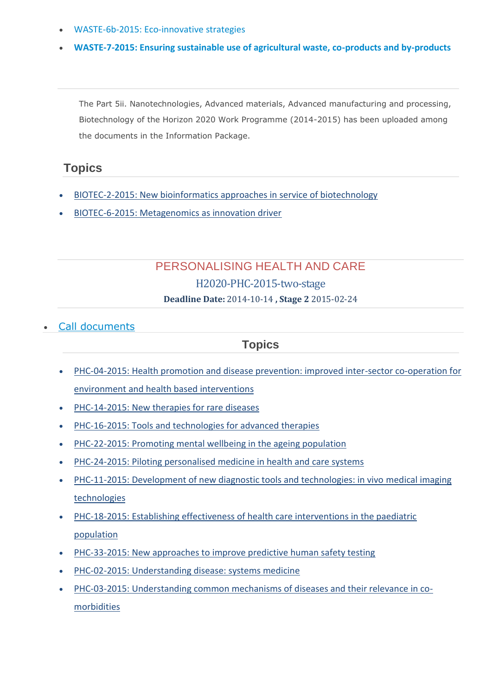- [WASTE-6b-2015: Eco-innovative strategies](http://ec.europa.eu/research/participants/portal/desktop/en/opportunities/h2020/topics/2116-waste-6b-2015.html)
- **[WASTE-7-2015: Ensuring sustainable use of agricultural waste, co-products and by-products](http://ec.europa.eu/research/participants/portal/desktop/en/opportunities/h2020/topics/2115-waste-7-2015.html)**

The Part 5ii. Nanotechnologies, Advanced materials, Advanced manufacturing and processing, Biotechnology of the Horizon 2020 Work Programme (2014-2015) has been uploaded among the documents in the Information Package.

# **Topics**

- [BIOTEC-2-2015: New bioinformatics approaches in service of biotechnology](http://ec.europa.eu/research/participants/portal/desktop/en/opportunities/h2020/topics/2599-biotec-2-2015.html)
- [BIOTEC-6-2015: Metagenomics as innovation driver](http://ec.europa.eu/research/participants/portal/desktop/en/opportunities/h2020/topics/2600-biotec-6-2015.html)

# PERSONALISING HEALTH AND CARE H2020-PHC-2015-two-stage

**Deadline Date:** 2014-10-14 **, Stage 2** 2015-02-24

#### [Call documents](http://ec.europa.eu/research/participants/portal/desktop/en/opportunities/h2020/calls/h2020-phc-2015-two-stage.html#tab2)

- [PHC-04-2015: Health promotion and disease prevention: improved inter-sector co-operation for](http://ec.europa.eu/research/participants/portal/desktop/en/opportunities/h2020/topics/2276-phc-04-2015.html)  [environment and health based interventions](http://ec.europa.eu/research/participants/portal/desktop/en/opportunities/h2020/topics/2276-phc-04-2015.html)
- [PHC-14-2015: New therapies for rare diseases](http://ec.europa.eu/research/participants/portal/desktop/en/opportunities/h2020/topics/2278-phc-14-2015.html)
- [PHC-16-2015: Tools and technologies for advanced therapies](http://ec.europa.eu/research/participants/portal/desktop/en/opportunities/h2020/topics/2279-phc-16-2015.html)
- [PHC-22-2015: Promoting mental wellbeing in the ageing population](http://ec.europa.eu/research/participants/portal/desktop/en/opportunities/h2020/topics/2281-phc-22-2015.html)
- [PHC-24-2015: Piloting personalised medicine in health and care systems](http://ec.europa.eu/research/participants/portal/desktop/en/opportunities/h2020/topics/2282-phc-24-2015.html)
- [PHC-11-2015: Development of new diagnostic tools and technologies: in vivo medical imaging](http://ec.europa.eu/research/participants/portal/desktop/en/opportunities/h2020/topics/2277-phc-11-2015.html)  [technologies](http://ec.europa.eu/research/participants/portal/desktop/en/opportunities/h2020/topics/2277-phc-11-2015.html)
- [PHC-18-2015: Establishing effectiveness of health care interventions in the paediatric](http://ec.europa.eu/research/participants/portal/desktop/en/opportunities/h2020/topics/2280-phc-18-2015.html)  [population](http://ec.europa.eu/research/participants/portal/desktop/en/opportunities/h2020/topics/2280-phc-18-2015.html)
- [PHC-33-2015: New approaches to improve predictive human safety testing](http://ec.europa.eu/research/participants/portal/desktop/en/opportunities/h2020/topics/2283-phc-33-2015.html)
- [PHC-02-2015: Understanding disease: systems medicine](http://ec.europa.eu/research/participants/portal/desktop/en/opportunities/h2020/topics/2274-phc-02-2015.html)
- [PHC-03-2015: Understanding common mechanisms of diseases and their relevance in co](http://ec.europa.eu/research/participants/portal/desktop/en/opportunities/h2020/topics/2275-phc-03-2015.html)[morbidities](http://ec.europa.eu/research/participants/portal/desktop/en/opportunities/h2020/topics/2275-phc-03-2015.html)